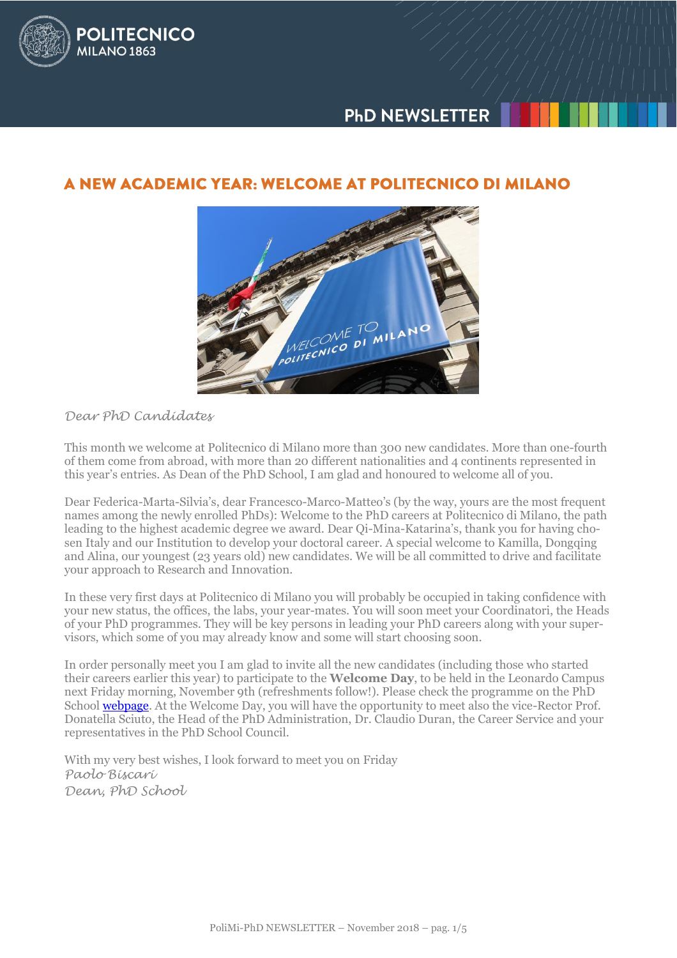



# A NEW ACADEMIC YEAR: WELCOME AT POLITECNICO DI MILANO



## *Dear PhD Candidates*

This month we welcome at Politecnico di Milano more than 300 new candidates. More than one-fourth of them come from abroad, with more than 20 different nationalities and 4 continents represented in this year's entries. As Dean of the PhD School, I am glad and honoured to welcome all of you.

Dear Federica-Marta-Silvia's, dear Francesco-Marco-Matteo's (by the way, yours are the most frequent names among the newly enrolled PhDs): Welcome to the PhD careers at Politecnico di Milano, the path leading to the highest academic degree we award. Dear Qi-Mina-Katarina's, thank you for having chosen Italy and our Institution to develop your doctoral career. A special welcome to Kamilla, Dongqing and Alina, our youngest (23 years old) new candidates. We will be all committed to drive and facilitate your approach to Research and Innovation.

In these very first days at Politecnico di Milano you will probably be occupied in taking confidence with your new status, the offices, the labs, your year-mates. You will soon meet your Coordinatori, the Heads of your PhD programmes. They will be key persons in leading your PhD careers along with your supervisors, which some of you may already know and some will start choosing soon.

In order personally meet you I am glad to invite all the new candidates (including those who started their careers earlier this year) to participate to the **Welcome Day**, to be held in the Leonardo Campus next Friday morning, November 9th (refreshments follow!). Please check the programme on the PhD School [webpage.](http://www.dottorato.polimi.it/en/news-and-deadlines/news/article/23/phd-welcome-day-2018-400/) At the Welcome Day, you will have the opportunity to meet also the vice-Rector Prof. Donatella Sciuto, the Head of the PhD Administration, Dr. Claudio Duran, the Career Service and your representatives in the PhD School Council.

With my very best wishes, I look forward to meet you on Friday *Paolo Biscari Dean, PhD School*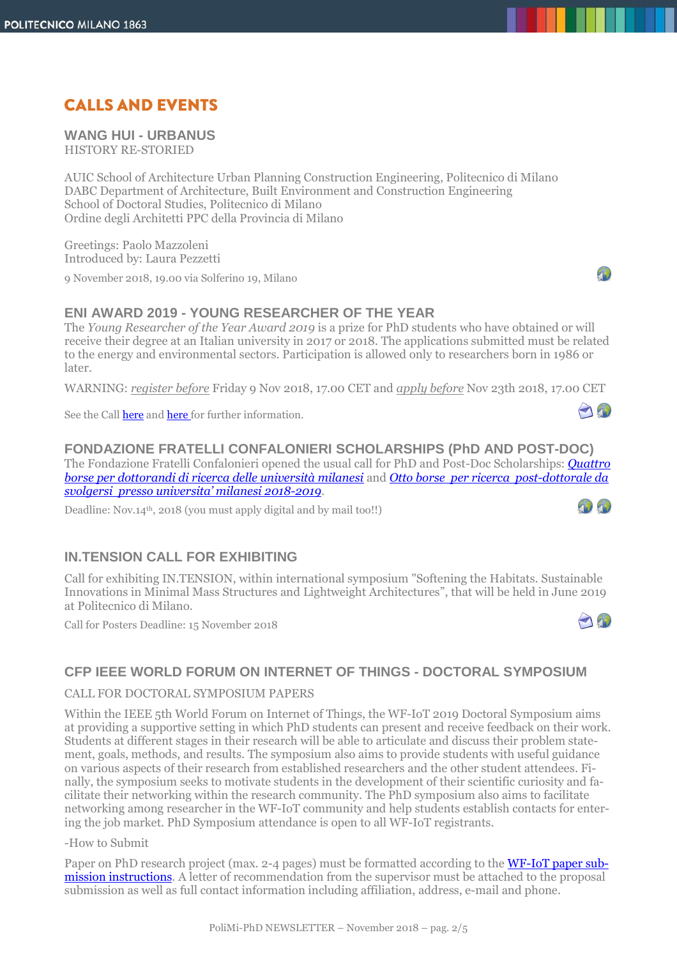# **CALLS AND EVENTS**

**WANG HUI - URBANUS** HISTORY RE-STORIED

AUIC School of Architecture Urban Planning Construction Engineering, Politecnico di Milano DABC Department of Architecture, Built Environment and Construction Engineering School of Doctoral Studies, Politecnico di Milano Ordine degli Architetti PPC della Provincia di Milano

Greetings: Paolo Mazzoleni Introduced by: Laura Pezzetti

9 November 2018, 19.00 via Solferino 19, Milano

## **ENI AWARD 2019 - YOUNG RESEARCHER OF THE YEAR**

The *Young Researcher of the Year Award 2019* is a prize for PhD students who have obtained or will receive their degree at an Italian university in 2017 or 2018. The applications submitted must be related to the energy and environmental sectors. Participation is allowed only to researchers born in 1986 or later.

WARNING: *register before* Friday 9 Nov 2018, 17.00 CET and *apply before* Nov 23th 2018, 17.00 CET

See the Call **here** and **here** for further information.

**FONDAZIONE FRATELLI CONFALONIERI SCHOLARSHIPS (PhD AND POST-DOC)** The Fondazione Fratelli Confalonieri opened the usual call for PhD and Post-Doc Scholarships: *[Quattro](http://www.fondazionefratelliconfalonieri.it/files/Bando%20Dottorandi%202018-2019.pdf)  [borse per dottorandi di ricerca delle università milanesi](http://www.fondazionefratelliconfalonieri.it/files/Bando%20Dottorandi%202018-2019.pdf)* and *[Otto borse per ricerca post-dottorale da](http://www.fondazionefratelliconfalonieri.it/files/Bando%20Post-Doc%202018-2019.pdf)  [svolgersi presso universita' milanesi 2018](http://www.fondazionefratelliconfalonieri.it/files/Bando%20Post-Doc%202018-2019.pdf)-2019*. 1010

Deadline: Nov.14<sup>th</sup>, 2018 (you must apply digital and by mail too!!)

# **IN.TENSION CALL FOR EXHIBITING**

Call for exhibiting IN.TENSION, within international symposium "Softening the Habitats. Sustainable Innovations in Minimal Mass Structures and Lightweight Architectures", that will be held in June 2019 at Politecnico di Milano.

Call for Posters Deadline: 15 November 2018



# **CFP IEEE WORLD FORUM ON INTERNET OF THINGS - DOCTORAL SYMPOSIUM**

CALL FOR DOCTORAL SYMPOSIUM PAPERS

Within the IEEE 5th World Forum on Internet of Things, the WF-IoT 2019 Doctoral Symposium aims at providing a supportive setting in which PhD students can present and receive feedback on their work. Students at different stages in their research will be able to articulate and discuss their problem statement, goals, methods, and results. The symposium also aims to provide students with useful guidance on various aspects of their research from established researchers and the other student attendees. Finally, the symposium seeks to motivate students in the development of their scientific curiosity and facilitate their networking within the research community. The PhD symposium also aims to facilitate networking among researcher in the WF-IoT community and help students establish contacts for entering the job market. PhD Symposium attendance is open to all WF-IoT registrants.

#### -How to Submit

Paper on PhD research project (max. 2-4 pages) must be formatted according to the **WF-IoT paper sub**[mission instructions.](http://wfiot2019.iot.ieee.org/authors-proposers/) A letter of recommendation from the supervisor must be attached to the proposal submission as well as full contact information including affiliation, address, e-mail and phone.



And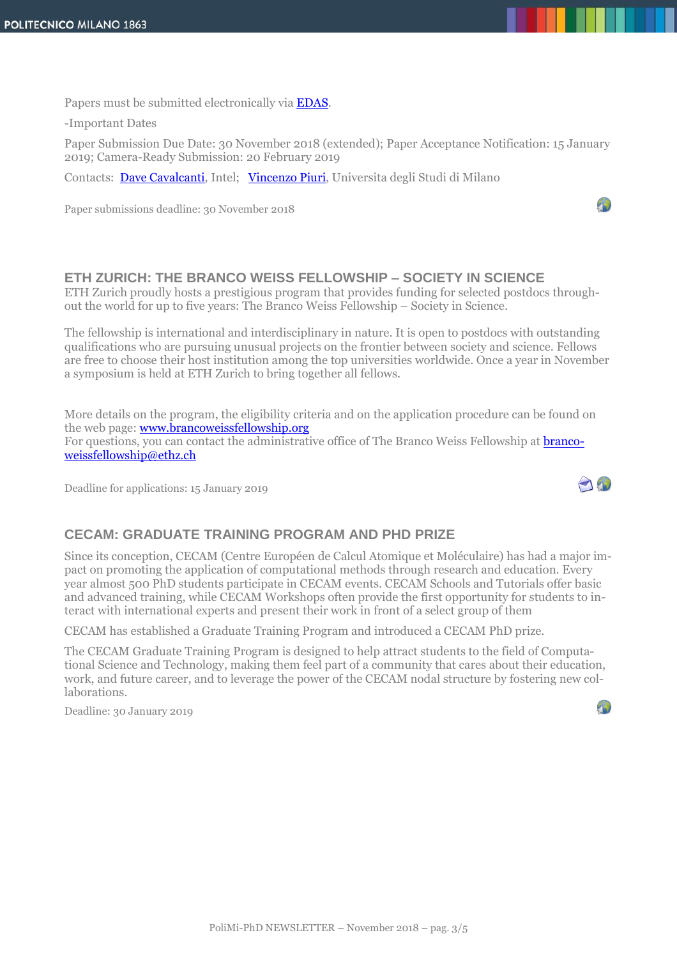Papers must be submitted electronically vi[a EDAS.](https://edas.info/newPaper.php?c=25109&track=91942)

-Important Dates

Paper Submission Due Date: 30 November 2018 (extended); Paper Acceptance Notification: 15 January 2019; Camera-Ready Submission: 20 February 2019

Contacts: [Dave Cavalcanti,](mailto:dave.cavalcanti@intel.com) Intel; [Vincenzo Piuri,](mailto:vincenzo.piuri@unimi.it) Universita degli Studi di Milano

Paper submissions deadline: 30 November 2018

### **ETH ZURICH: THE BRANCO WEISS FELLOWSHIP – SOCIETY IN SCIENCE**

ETH Zurich proudly hosts a prestigious program that provides funding for selected postdocs throughout the world for up to five years: The Branco Weiss Fellowship – Society in Science.

The fellowship is international and interdisciplinary in nature. It is open to postdocs with outstanding qualifications who are pursuing unusual projects on the frontier between society and science. Fellows are free to choose their host institution among the top universities worldwide. Once a year in November a symposium is held at ETH Zurich to bring together all fellows.

More details on the program, the eligibility criteria and on the application procedure can be found on the web page: www.brancoweissfellowship.org For questions, you can contact the administrative office of The Branco Weiss Fellowship at **branco**[weissfellowship@ethz.ch](mailto:brancoweissfellowship@ethz.ch)

Deadline for applications: 15 January 2019

# A

4

### **CECAM: GRADUATE TRAINING PROGRAM AND PHD PRIZE**

Since its conception, CECAM (Centre Européen de Calcul Atomique et Moléculaire) has had a major impact on promoting the application of computational methods through research and education. Every year almost 500 PhD students participate in CECAM events. CECAM Schools and Tutorials offer basic and advanced training, while CECAM Workshops often provide the first opportunity for students to interact with international experts and present their work in front of a select group of them

CECAM has established a Graduate Training Program and introduced a CECAM PhD prize.

The CECAM Graduate Training Program is designed to help attract students to the field of Computational Science and Technology, making them feel part of a community that cares about their education, work, and future career, and to leverage the power of the CECAM nodal structure by fostering new collaborations.

Deadline: 30 January 2019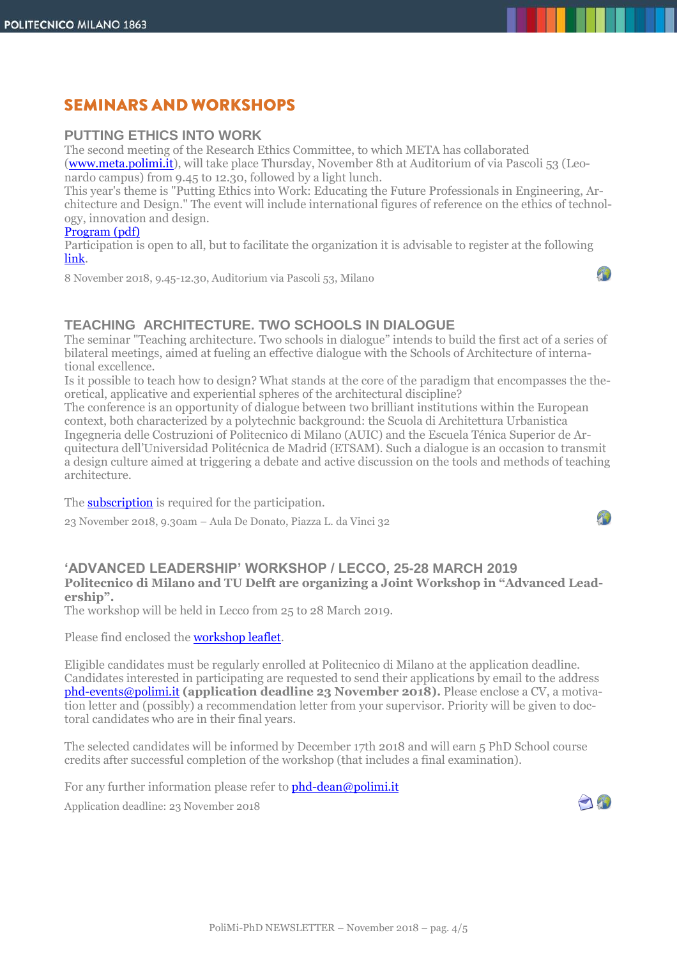# **SEMINARS AND WORKSHOPS**

### **PUTTING ETHICS INTO WORK**

The second meeting of the Research Ethics Committee, to which META has collaborated [\(www.meta.polimi.it\)](http://www.meta.polimi.it/), will take place Thursday, November 8th at Auditorium of via Pascoli 53 (Leonardo campus) from 9.45 to 12.30, followed by a light lunch.

This year's theme is "Putting Ethics into Work: Educating the Future Professionals in Engineering, Architecture and Design." The event will include international figures of reference on the ethics of technology, innovation and design.

#### [Program \(pdf\)](http://www.dottorato.polimi.it/fileadmin/files/dottorato/newsletter/allegati/2018-11/META_A3_Putting_Ethics_intoWork_def.pdf)

Participation is open to all, but to facilitate the organization it is advisable to register at the following [link.](https://forms.office.com/Pages/ResponsePage.aspx?id=K3EXCvNtXUKAjjCd8ope6_rqvG3vx0ZFulXqQ60VY5VUNjhLT01ZQjJQVlFLVlo0TlZONFpSNk9LWi4u)

8 November 2018, 9.45-12.30, Auditorium via Pascoli 53, Milano

## **TEACHING ARCHITECTURE. TWO SCHOOLS IN DIALOGUE**

The seminar "Teaching architecture. Two schools in dialogue" intends to build the first act of a series of bilateral meetings, aimed at fueling an effective dialogue with the Schools of Architecture of international excellence.

Is it possible to teach how to design? What stands at the core of the paradigm that encompasses the theoretical, applicative and experiential spheres of the architectural discipline?

The conference is an opportunity of dialogue between two brilliant institutions within the European context, both characterized by a polytechnic background: the Scuola di Architettura Urbanistica Ingegneria delle Costruzioni of Politecnico di Milano (AUIC) and the Escuela Ténica Superior de Arquitectura dell'Universidad Politécnica de Madrid (ETSAM). Such a dialogue is an occasion to transmit a design culture aimed at triggering a debate and active discussion on the tools and methods of teaching architecture.

The **subscription** is required for the participation.

23 November 2018, 9.30am – Aula De Donato, Piazza L. da Vinci 32

#### **'ADVANCED LEADERSHIP' WORKSHOP / LECCO, 25-28 MARCH 2019 Politecnico di Milano and TU Delft are organizing a Joint Workshop in "Advanced Leadership".**

The workshop will be held in Lecco from 25 to 28 March 2019.

Please find enclosed the [workshop leaflet.](http://www.dottorato.polimi.it/fileadmin/files/dottorato/newsletter/allegati/2018-11/Advanced_Leadership_skills_leaflet_Milano_2019.pdf)

Eligible candidates must be regularly enrolled at Politecnico di Milano at the application deadline. Candidates interested in participating are requested to send their applications by email to the address [phd-events@polimi.it](mailto:phd-events@polimi.it) **(application deadline 23 November 2018).** Please enclose a CV, a motivation letter and (possibly) a recommendation letter from your supervisor. Priority will be given to doctoral candidates who are in their final years.

The selected candidates will be informed by December 17th 2018 and will earn 5 PhD School course credits after successful completion of the workshop (that includes a final examination).

For any further information please refer to **phd-dean@polimi.it** 

Application deadline: 23 November 2018



 $T_{\rm b}$ 

A